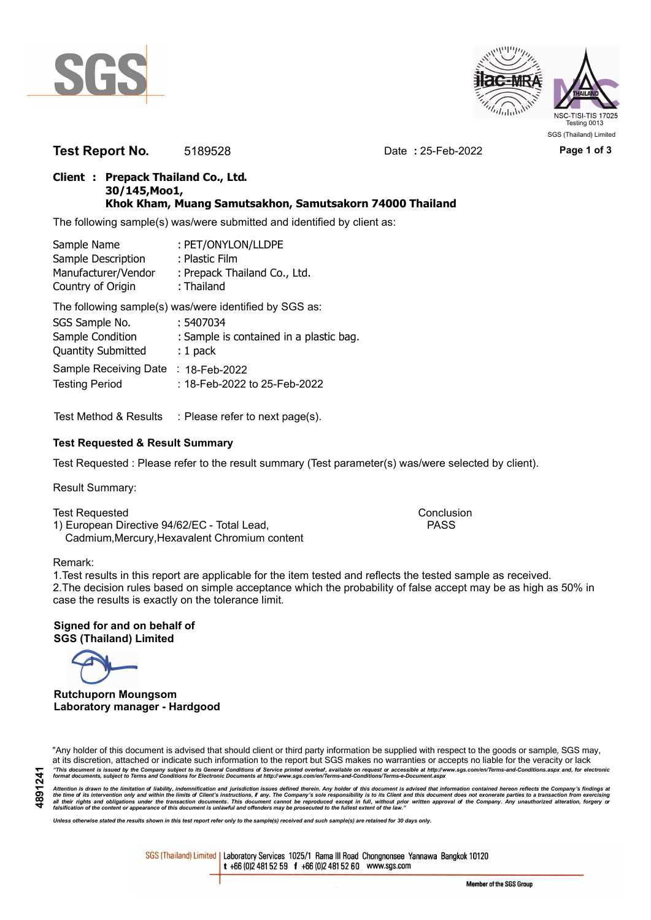



**Test Report No.** 5189528 Date **:** 25-Feb-2022 **Page 1 of 3**

## **Client : Prepack Thailand Co., Ltd. 30/145,Moo1, Khok Kham, Muang Samutsakhon, Samutsakorn 74000 Thailand**

The following sample(s) was/were submitted and identified by client as:

| : PET/ONYLON/LLDPE           |
|------------------------------|
| : Plastic Film               |
| : Prepack Thailand Co., Ltd. |
| : Thailand                   |
|                              |

The following sample(s) was/were identified by SGS as:

| SGS Sample No.                      | : 5407034                               |
|-------------------------------------|-----------------------------------------|
| Sample Condition                    | : Sample is contained in a plastic bag. |
| <b>Quantity Submitted</b>           | $: 1$ pack                              |
| Sample Receiving Date : 18-Feb-2022 |                                         |
| <b>Testing Period</b>               | : 18-Feb-2022 to 25-Feb-2022            |

Test Method & Results : Please refer to next page(s).

## **Test Requested & Result Summary**

Test Requested : Please refer to the result summary (Test parameter(s) was/were selected by client).

Result Summary:

Test Requested **Conclusion** Conclusion 1) European Directive 94/62/EC - Total Lead, PASS Cadmium,Mercury,Hexavalent Chromium content

#### Remark:

1.Test results in this report are applicable for the item tested and reflects the tested sample as received. 2.The decision rules based on simple acceptance which the probability of false accept may be as high as 50% in case the results is exactly on the tolerance limit.

**Signed for and on behalf of SGS (Thailand) Limited**

**Rutchuporn Moungsom Laboratory manager - Hardgood**

"Any holder of this document is advised that should client or third party information be supplied with respect to the goods or sample, SGS may, at its discretion, attached or indicate such information to the report but SGS makes no warranties or accepts no liable for the veracity or lack "This document is issued by the Company subject to its General Conditions of Service printed overleaf, available on request or accessible at http://www.sgs.com/en/Terms-and-Conditions.aspx and, for electronic<br>format docume

Attention is drawn to the limitation of liability, indemnification and jurisdiction issues defined therein. Any holder of this document is advised that information contained hereon reflects the Company's findings at<br>all th

*Unless otherwise stated the results shown in this test report refer only to the sample(s) received and such sample(s) are retained for 30 days only.*

SGS (Thailand) Limited | Laboratory Services 1025/1 Rama III Road Chongnonsee Yannawa Bangkok 10120 t +66 (0)2 481 52 59 f +66 (0)2 481 52 60 www.sgs.com

Member of the SGS Group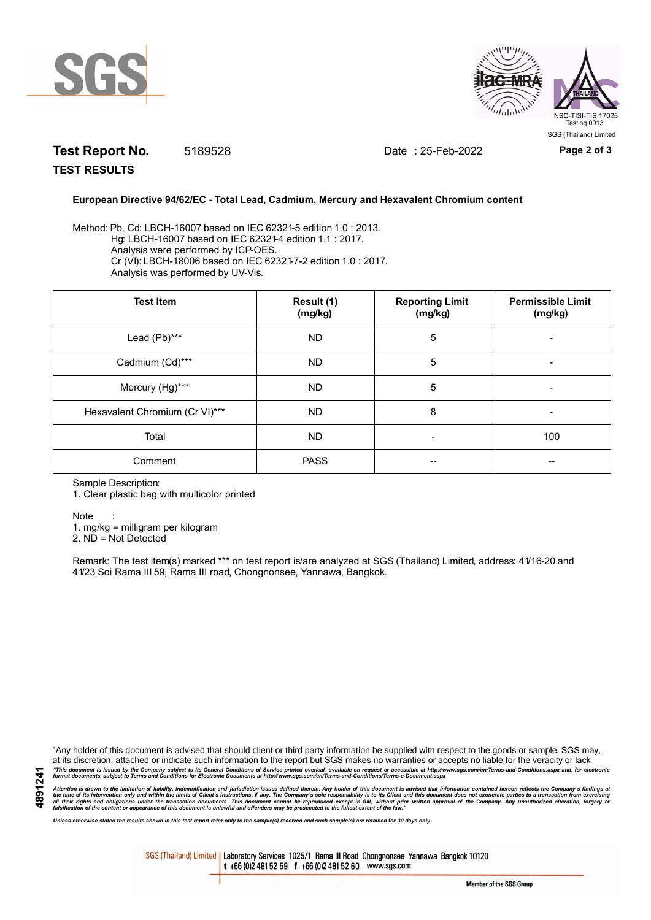



# **Test Report No.** 5189528 Date **:** 25-Feb-2022 **Page 2 of 3**

**TEST RESULTS**

### **European Directive 94/62/EC - Total Lead, Cadmium, Mercury and Hexavalent Chromium content**

Method: Pb, Cd: LBCH-16007 based on IEC 62321-5 edition 1.0 : 2013. Hg: LBCH-16007 based on IEC 62321-4 edition 1.1 : 2017. Analysis were performed by ICP-OES. Cr (VI): LBCH-18006 based on IEC 62321-7-2 edition 1.0 : 2017. Analysis was performed by UV-Vis.

| <b>Test Item</b>               | Result (1)<br>(mg/kg) | <b>Reporting Limit</b><br>(mg/kg) | <b>Permissible Limit</b><br>(mg/kg) |
|--------------------------------|-----------------------|-----------------------------------|-------------------------------------|
| Lead (Pb)***                   | ND.                   | 5                                 |                                     |
| Cadmium (Cd)***                | ND.                   | 5                                 |                                     |
| Mercury (Hg)***                | <b>ND</b>             | 5                                 | -                                   |
| Hexavalent Chromium (Cr VI)*** | <b>ND</b>             | 8                                 | -                                   |
| Total                          | <b>ND</b>             |                                   | 100                                 |
| Comment                        | <b>PASS</b>           | --                                |                                     |

Sample Description:

1. Clear plastic bag with multicolor printed

Note :

1. mg/kg = milligram per kilogram

2. ND = Not Detected

Remark: The test item(s) marked \*\*\* on test report is/are analyzed at SGS (Thailand) Limited, address: 41/16-20 and 41/23 Soi Rama III 59, Rama III road, Chongnonsee, Yannawa, Bangkok.

"Any holder of this document is advised that should client or third party information be supplied with respect to the goods or sample, SGS may, at its discretion, attached or indicate such information to the report but SGS makes no warranties or accepts no liable for the veracity or lack "This document is issued by the Company subject to its General Conditions of Service printed overleaf, available on request or accessible at http://www.sgs.com/en/Terms-and-Conditions.aspx and, for electronic<br>format docume

Attention is drawn to the limitation of liability, indemnification and jurisdiction issues defined therein. Any holder of this document is advised that information contained hereon reflects the Company's findings at<br>all th

*Unless otherwise stated the results shown in this test report refer only to the sample(s) received and such sample(s) are retained for 30 days only.*

SGS (Thailand) Limited | Laboratory Services 1025/1 Rama III Road Chongnonsee Yannawa Bangkok 10120 t +66 (0)2 481 52 59 f +66 (0)2 481 52 60 www.sgs.com